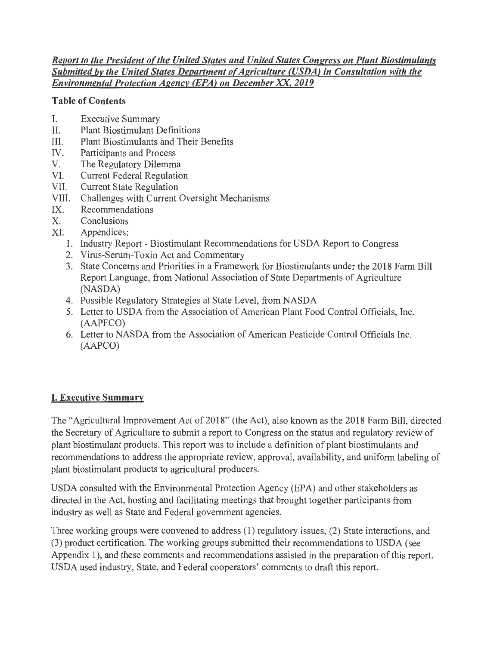### *Report to the President of the United States and United States Congress on Plant Biostimulants* **Submitted by the United States Department of Agriculture (USDA) in Consultation with the** *Environmental Protection Agency (EPA) on December XX, 2019*

## Table of Contents

- I. Executive Summary
- II. Plant Biostimulant Definitions
- III. Plant Biostimulants and Their Benefits
- IV. Participants and Process
- v. The Regulatory Dilemma
- VI. Current Federal Regulation
- VII. Current State Regulation
- VIII. Challenges with Current Oversight Mechanisms
- IX. Recommendations
- x. Conclusions
- XI. Appendices:
	- 1. Industry Report Biostimulant Recommendations for USDA Report to Congress
	- 2. Virus-Serum-Toxin Act and Commentary
	- 3. State Concerns and Priorities in a Framework for Biostimulants under the 2018 Farm Bill Report Language, from National Association of State Departments of Agriculture (NASDA)
	- 4. Possible Regulatory Strategies at State Level, from NASDA
	- 5. Letter to USDA from the Association of American Plant Food Control Officials, Inc. (AAPFCO)
	- 6. Letter to NASDA from the Association of American Pesticide Control Officials Inc. (AAPCO)

## I. Executive Summary

The "Agricultural Improvement Act of 2018" (the Act), also known as the 2018 Farm Bill, directed the Secretary of Agriculture to submit a report to Congress on the status and regulatory review of plant biostimulant products. This report was to include a definition of plant biostimulants and recommendations to address the appropriate review, approval, availability, and uniform labeling of plant biostimulant products to agricultural producers.

USDA consulted with the Environmental Protection Agency (EPA) and other stakeholders as directed in the Act, hosting and facilitating meetings that brought together participants from industry as well as State and Federal government agencies.

Three working groups were convened to address (1) regulatory issues, (2) State interactions, and (3) product certification. The working groups submitted their recommendations to USDA (see Appendix 1), and these comments and recommendations assisted in the preparation of this report. USDA used industry, State, and Federal cooperators' comments to draft this report.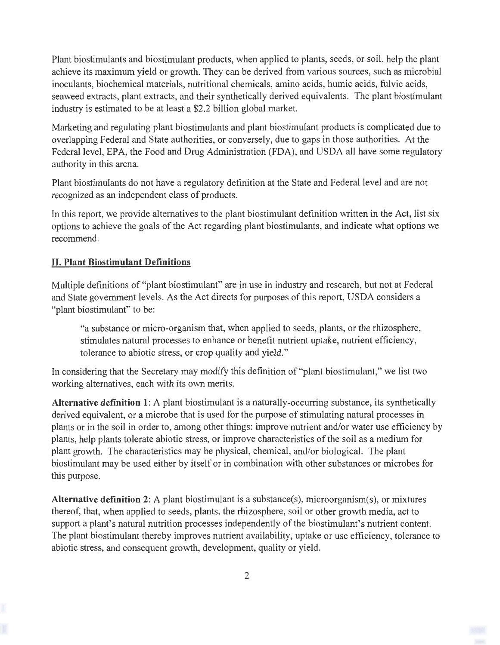Plant biostimulants and biostimulant products, when applied to plants, seeds, or soil, help the plant achieve its maximum yield or growth. They can be derived from various sources, such as microbial inoculants, biochemical materials, nutritional chemicals, amino acids, humic acids, fulvic acids, seaweed extracts, plant extracts, and their synthetically derived equivalents. The plant biostimulant industry is estimated to be at least a \$2.2 billion global market.

Marketing and regulating plant biostimulants and plant biostimulant products is complicated due to overlapping Federal and State authorities, or conversely, due to gaps in those authorities. At the Federal level, EPA, the Food and Drug Administration (FDA), and USDA all have some regulatory authority in this arena.

Plant biostimulants do not have a regulatory definition at the State and Federal level and are not recognized as an independent class of products.

In this report, we provide alternatives to the plant biostimulant definition written in the Act, list six options to achieve the goals of the Act regarding plant biostimulants, and indicate what options we recommend.

## **II. Plant Biostimulant Definitions**

Multiple definitions of "plant biostimulant" are in use in industry and research, but not at Federal and State government levels. As the Act directs for purposes of this report, USDA considers a "plant biostimulant" to be:

"a substance or micro-organism that, when applied to seeds, plants, or the rhizosphere, stimulates natural processes to enhance or benefit nutrient uptake, nutrient efficiency, tolerance to abiotic stress, or crop quality and yield."

In considering that the Secretary may modify this definition of "plant biostimulant," we list two working alternatives, each with its own merits.

**Alternative definition 1:** A plant biostimulant is a naturally-occurring substance, its synthetically derived equivalent, or a microbe that is used for the purpose of stimulating natural processes in plants or in the soil in order to, among other things: improve nutrient and/or water use efficiency by plants, help plants tolerate abiotic stress, or improve characteristics of the soil as a medium for plant growth. The characteristics may be physical, chemical, and/or biological. The plant biostimulant may be used either by itself or in combination with other substances or microbes for this purpose.

**Alternative definition 2:** A plant biostimulant is a substance(s), microorganism(s), or mixtures thereof, that, when applied to seeds, plants, the rhizosphere, soil or other growth media, act to support a plant's natural nutrition processes independently of the biostimulant's nutrient content. The plant biostimulant thereby improves nutrient availability, uptake or use efficiency, tolerance to abiotic stress, and consequent growth, development, quality or yield.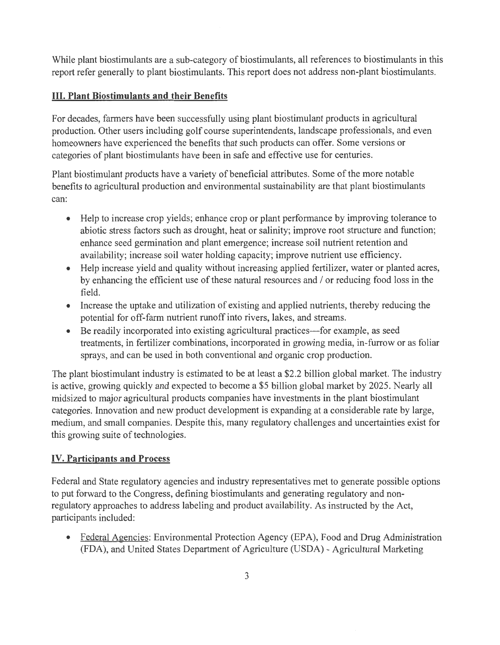While plant biostimulants are a sub-category of biostimulants, all references to biostimulants in this report refer generally to plant biostimulants. This report does not address non-plant biostimulants.

# **III. Plant Biostimulants and their Benefits**

For decades, farmers have been successfully using plant biostimulant products in agricultural production. Other users including golf course superintendents, landscape professionals, and even homeowners have experienced the benefits that such products can offer. Some versions or categories of plant biostimulants have been in safe and effective use for centuries.

Plant biostimulant products have a variety of beneficial attributes. Some of the more notable benefits to agricultural production and environmental sustainability are that plant biostimulants can:

- Help to increase crop yields; enhance crop or plant performance by improving tolerance to abiotic stress factors such as drought, heat or salinity; improve root structure and function; enhance seed germination and plant emergence; increase soil nutrient retention and availability; increase soil water holding capacity; improve nutrient use efficiency.
- Help increase yield and quality without increasing applied fertilizer, water or planted acres, by enhancing the efficient use of these natural resources and / or reducing food loss in the field.
- Increase the uptake and utilization of existing and applied nutrients, thereby reducing the potential for off-farm nutrient runoff into rivers, lakes, and streams.
- Be readily incorporated into existing agricultural practices—for example, as seed treatments, in fertilizer combinations, incorporated in growing media, in-furrow or as foliar sprays, and can be used in both conventional and organic crop production.

The plant biostimulant industry is estimated to be at least a \$2.2 billion global market. The industry is active, growing quickly and expected to become a \$5 billion global market by 2025. Nearly all midsized to major agricultural products companies have investments in the plant biostimulant categories. Innovation and new product development is expanding at a considerable rate by large, medium, and small companies. Despite this, many regulatory challenges and uncertainties exist for this growing suite of technologies.

## **IV. Participants and Process**

Federal and State regulatory agencies and industry representatives met to generate possible options to put forward to the Congress, defining biostimulants and generating regulatory and nonregulatory approaches to address labeling and product availability. As instructed by the Act, participants included:

• Federal Agencies: Environmental Protection Agency (EPA), Food and Drug Administration (FDA), and United States Department of Agriculture (USDA) - Agricultural Marketing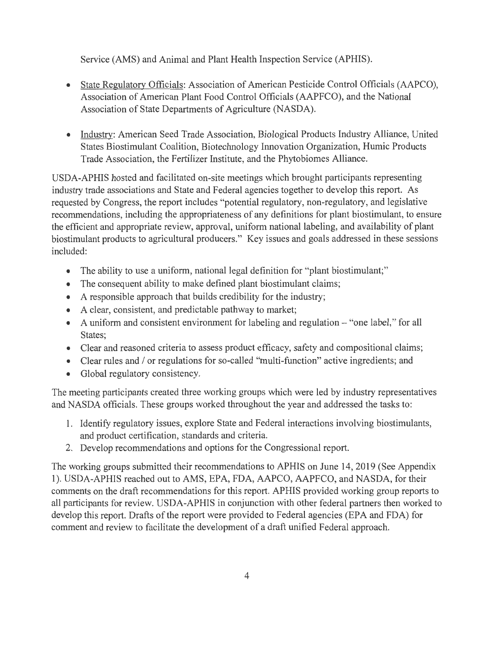Service (AMS) and Animal and Plant Health Inspection Service (APHIS).

- State Regulatory Officials: Association of American Pesticide Control Officials (AAPCO), Association of American Plant Food Control Officials (AAPFCO), and the National Association of State Departments of Agriculture (NASDA).
- Industry: American Seed Trade Association, Biological Products Industry Alliance, United States Biostimulant Coalition, Biotechnology Innovation Organization, Humic Products Trade Association, the Fertilizer Institute, and the Phytobiomes Alliance.

USDA-APHIS hosted and facilitated on-site meetings which brought participants representing industry trade associations and State and Federal agencies together to develop this report. As requested by Congress, the report includes "potential regulatory, non-regulatory, and legislative recommendations, including the appropriateness of any definitions for plant biostimulant, to ensure the efficient and appropriate review, approval, uniform national labeling, and availability of plant biostimulant products to agricultural producers." Key issues and goals addressed in these sessions included:

- The ability to use a uniform, national legal definition for "plant biostimulant;"
- The consequent ability to make defined plant biostimulant claims;
- A responsible approach that builds credibility for the industry;
- A clear, consistent, and predictable pathway to market;
- A uniform and consistent environment for labeling and regulation "one label," for all States;
- Clear and reasoned criteria to assess product efficacy, safety and compositional claims;
- Clear rules and / or regulations for so-called "multi-function" active ingredients; and
- Global regulatory consistency.

The meeting participants created three working groups which were led by industry representatives and NASDA officials. These groups worked throughout the year and addressed the tasks to:

- 1. Identify regulatory issues, explore State and Federal interactions involving biostimulants, and product certification, standards and criteria.
- 2. Develop recommendations and options for the Congressional report.

The working groups submitted their recommendations to APHIS on June 14, 2019 (See Appendix 1). USDA-APHIS reached out to AMS, EPA, FDA, AAPCO, AAPFCO, and NASDA, for their comments on the draft recommendations for this report. APHIS provided working group reports to all participants for review. USDA-APHIS in conjunction with other federal partners then worked to develop this report. Drafts of the report were provided to Federal agencies (EPA and FDA) for comment and review to facilitate the development of a draft unified Federal approach.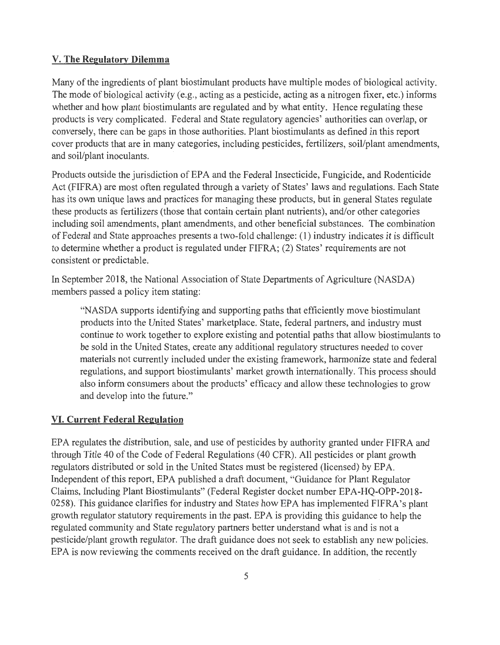#### **V. The Regulatory Dilemma**

Many of the ingredients of plant biostimulant products have multiple modes of biological activity. The mode of biological activity (e.g., acting as a pesticide, acting as a nitrogen fixer, etc.) informs whether and how plant biostimulants are regulated and by what entity. Hence regulating these products is very complicated. Federal and State regulatory agencies' authorities can overlap, or conversely, there can be gaps in those authorities. Plant biostimulants as defined in this report cover products that are in many categories, including pesticides, fertilizers, soil/plant amendments, and soil/plant inoculants.

Products outside the jurisdiction of EPA and the Federal Insecticide, Fungicide, and Rodenticide Act (FIFRA) are most often regulated through a variety of States' laws and regulations. Each State has its own unique laws and practices for managing these products, but in general States regulate these products as fertilizers (those that contain certain plant nutrients), and/or other categories including soil amendments, plant amendments, and other beneficial substances. The combination of Federal and State approaches presents a two-fold challenge: (1) industry indicates it is difficult to determine whether a product is regulated under FIFRA; (2) States' requirements are not consistent or predictable.

In September 2018, the National Association of State Departments of Agriculture (NASDA) members passed a policy item stating:

"NASDA supports identifying and supporting paths that efficiently move biostimulant products into the United States' marketplace. State, federal partners, and industry must continue to work together to explore existing and potential paths that allow biostimulants to be sold in the United States, create any additional regulatory structures needed to cover materials not currently included under the existing framework, harmonize state and federal regulations, and support biostimulants' market growth internationally. This process should also inform consumers about the products' efficacy and allow these technologies to grow and develop into the future. "

#### **VI. Current Federal Regulation**

EPA regulates the distribution, sale, and use of pesticides by authority granted under FIFRA and through Title 40 of the Code of Federal Regulations (40 CFR). All pesticides or plant growth regulators distributed or sold in the United States must be registered (licensed) by EPA. Independent of this report, EPA published a draft document, "Guidance for Plant Regulator Claims, Including Plant Biostimulants" (Federal Register docket number EPA-HQ-OPP-2018- 0258). This guidance clarifies for industry and States how EPA has implemented FIFRA's plant growth regulator statutory requirements in the past. EPA is providing this guidance to help the regulated community and State regulatory partners better understand what is and is not a pesticide/plant growth regulator. The draft guidance does not seek to establish any new policies. EPA is now reviewing the comments received on the draft guidance. In addition, the recently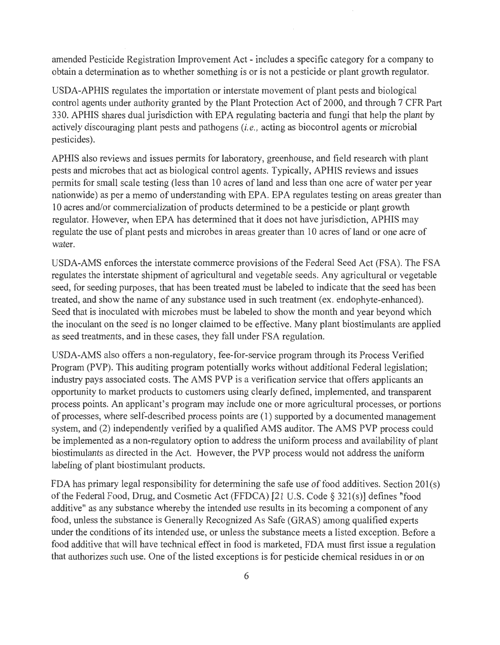amended Pesticide Registration Improvement Act - includes a specific category for a company to obtain a determination as to whether something is or is not a pesticide or plant growth regulator.

USDA-APHIS regulates the importation or interstate movement of plant pests and biological control agents under authority granted by the Plant Protection Act of 2000, and through 7 CFR Part 330. APHIS shares dual jurisdiction with EPA regulating bacteria and fungi that help the plant by actively discouraging plant pests and pathogens *(i.e.,* acting as biocontrol agents or microbial pesticides).

APHIS also reviews and issues permits for laboratory, greenhouse, and field research with plant pests and microbes that act as biological control agents. Typically, APHIS reviews and issues permits for small scale testing (less than 10 acres of land and less than one acre of water per year nationwide) as per a memo of understanding with EPA. EPA regulates testing on areas greater than 10 acres and/or commercialization of products determined to be a pesticide or plant growth regulator. However, when EPA has determined that it does not have jurisdiction, APHIS may regulate the use of plant pests and microbes in areas greater than 10 acres of land or one acre of water.

USDA-AMS enforces the interstate commerce provisions of the Federal Seed Act (FSA). The FSA regulates the interstate shipment of agricultural and vegetable seeds. Any agricultural or vegetable seed, for seeding purposes, that has been treated must be labeled to indicate that the seed has been treated, and show the name of any substance used in such treatment (ex. endophyte-enhanced). Seed that is inoculated with microbes must be labeled to show the month and year beyond which the inoculant on the seed is no longer claimed to be effective. Many plant biostimulants are applied as seed treatments, and in these cases, they fall under FSA regulation.

USDA-AMS also offers a non-regulatory, fee-for-service program through its Process Verified Program (PVP). This auditing program potentially works without additional Federal legislation; industry pays associated costs. The AMS PVP is a verification service that offers applicants an opportunity to market products to customers using clearly defined, implemented, and transparent process points. An applicant's program may include one or more agricultural processes, or portions of processes, where self-described process points are (1) supported by a documented management system, and (2) independently verified by a qualified AMS auditor. The AMS PVP process could be implemented as a non-regulatory option to address the uniform process and availability of plant biostimulants as directed in the Act. However, the PVP process would not address the uniform labeling of plant biostimulant products.

FDA has primary legal responsibility for determining the safe use of food additives. Section 201(s) of the Federal Food, Drug, and Cosmetic Act (FFDCA) [21 U.S. Code§ 321(s)] defines "food additive" as any substance whereby the intended use results in its becoming a component of any food, unless the substance is Generally Recognized As Safe (GRAS) among qualified experts under the conditions of its intended use, or unless the substance meets a listed exception. Before a food additive that will have technical effect in food is marketed, FDA must first issue a regulation that authorizes such use. One of the listed exceptions is for pesticide chemical residues in or on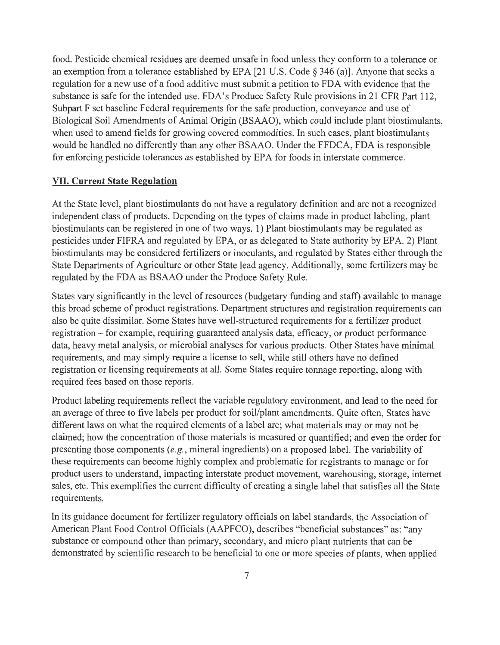food. Pesticide chemical residues are deemed unsafe in food unless they conform to a tolerance or an exemption from a tolerance established by EPA [21 U.S. Code§ 346 (a)]. Anyone that seeks a regulation for a new use of a food additive must submit a petition to FDA with evidence that the substance is safe for the intended use. FDA's Produce Safety Rule provisions in 21 CFR Part 112, Subpart F set baseline Federal requirements for the safe production, conveyance and use of Biological Soil Amendments of Animal Origin (BSAAO), which could include plant biostimulants, when used to amend fields for growing covered commodities. In such cases, plant biostimulants would be handled no differently than any other BSAAO. Under the FFDCA, FDA is responsible for enforcing pesticide tolerances as established by EPA for foods in interstate commerce.

#### VII. **Current State Regulation**

At the State level, plant biostimulants do not have a regulatory definition and are not a recognized independent class of products. Depending on the types of claims made in product labeling, plant biostimulants can be registered in one of two ways. 1) Plant biostimulants may be regulated as pesticides under FIFRA and regulated by EPA, or as delegated to State authority by EPA. 2) Plant biostimulants may be considered fertilizers or inoculants, and regulated by States either through the State Departments of Agriculture or other State lead agency. Additionally, some fertilizers may be regulated by the FDA as BSAAO under the Produce Safety Rule.

States vary significantly in the level of resources (budgetary funding and staff) available to manage this broad scheme of product registrations. Department structures and registration requirements can also be quite dissimilar. Some States have well-structured requirements for a fertilizer product registration - for example, requiring guaranteed analysis data, efficacy, or product performance data, heavy metal analysis, or microbial analyses for various products. Other States have minimal requirements, and may simply require a license to sell, while still others have no defined registration or licensing requirements at all. Some States require tonnage reporting, along with required fees based on those reports.

Product labeling requirements reflect the variable regulatory environment, and lead to the need for an average of three to five labels per product for soil/plant amendments. Quite often, States have different laws on what the required elements of a label are; what materials may or may not be claimed; how the concentration of those materials is measured or quantified; and even the order for presenting those components *(e.g.,* mineral ingredients) on a proposed label. The variability of these requirements can become highly complex and problematic for registrants to manage or for product users to understand, impacting interstate product movement, warehousing, storage, internet sales, etc. This exemplifies the current difficulty of creating a single label that satisfies all the State requirements.

In its guidance document for fertilizer regulatory officials on label standards, the Association of American Plant Food Control Officials (AAPFCO), describes "beneficial substances" as: "any substance or compound other than primary, secondary, and micro plant nutrients that can be demonstrated by scientific research to be beneficial to one or more species of plants, when applied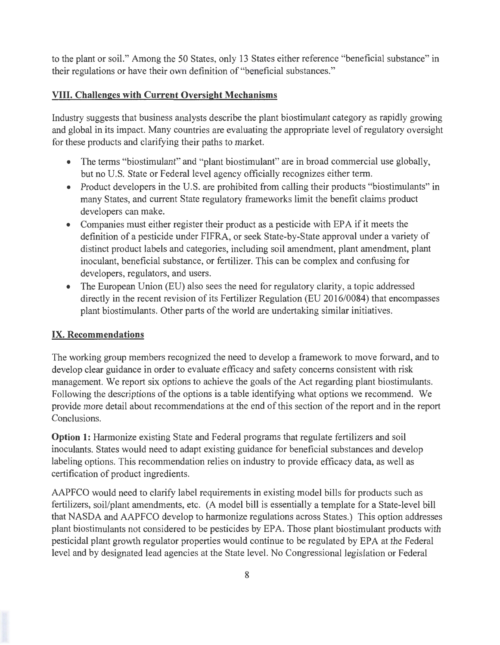to the plant or soil." Among the 50 States, only 13 States either reference "beneficial substance" in their regulations or have their own definition of "beneficial substances."

### **VIII. Challenges with Current Oversight Mechanisms**

Industry suggests that business analysts describe the plant biostimulant category as rapidly growing and global in its impact. Many countries are evaluating the appropriate level of regulatory oversight for these products and clarifying their paths to market.

- The terms "biostimulant" and "plant biostimulant" are in broad commercial use globally, but no U.S. State or Federal level agency officially recognizes either term.
- Product developers in the U.S. are prohibited from calling their products "biostimulants" in many States, and current State regulatory frameworks limit the benefit claims product developers can make.
- Companies must either register their product as a pesticide with EPA if it meets the definition of a pesticide under FIFRA, or seek State-by-State approval under a variety of distinct product labels and categories, including soil amendment, plant amendment, plant inoculant, beneficial substance, or fertilizer. This can be complex and confusing for developers, regulators, and users.
- The European Union (EU) also sees the need for regulatory clarity, a topic addressed directly in the recent revision of its Fertilizer Regulation (EU 2016/0084) that encompasses plant biostimulants. Other parts of the world are undertaking similar initiatives.

#### **IX. Recommendations**

The working group members recognized the need to develop a framework to move forward, and to develop clear guidance in order to evaluate efficacy and safety concerns consistent with risk management. We report six options to achieve the goals of the Act regarding plant biostimulants. Following the descriptions of the options is a table identifying what options we recommend. We provide more detail about recommendations at the end of this section of the report and in the report Conclusions.

**Option 1:** Harmonize existing State and Federal programs that regulate fertilizers and soil inoculants. States would need to adapt existing guidance for beneficial substances and develop labeling options. This recommendation relies on industry to provide efficacy data, as well as certification of product ingredients.

AAPFCO would need to clarify label requirements in existing model bills for products such as fertilizers, soil/plant amendments, etc. (A model bill is essentially a template for a State-level bill that NASDA and AAPFCO develop to harmonize regulations across States.) This option addresses plant biostimulants not considered to be pesticides by EPA. Those plant biostimulant products with pesticidal plant growth regulator properties would continue to be regulated by EPA at the Federal level and by designated lead agencies at the State level. No Congressional legislation or Federal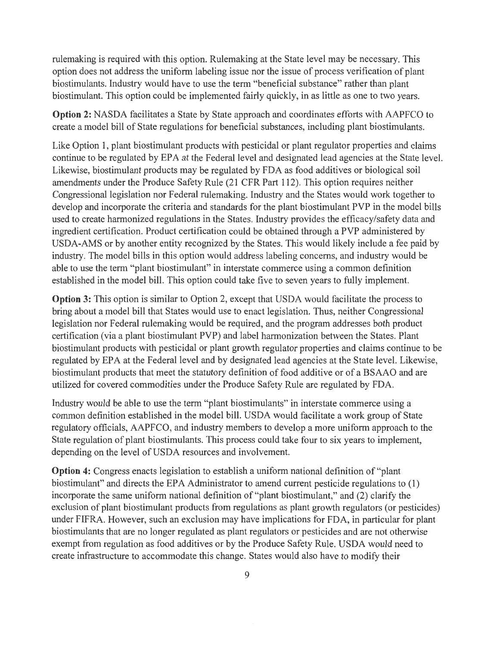rulemaking is required with this option. Rulemaking at the State level may be necessary. This option does not address the uniform labeling issue nor the issue of process verification of plant biostimulants. Industry would have to use the term "beneficial substance" rather than plant biostimulant. This option could be implemented fairly quickly, in as little as one to two years.

**Option** 2: NASDA facilitates a State by State approach and coordinates efforts with AAPFCO to create a model bill of State regulations for beneficial substances, including plant biostimulants.

Like Option 1, plant biostimulant products with pesticidal or plant regulator properties and claims continue to be regulated by EPA at the Federal level and designated lead agencies at the State level. Likewise, biostimulant products may be regulated by FDA as food additives or biological soil amendments under the Produce Safety Rule (21 CFR Part 112). This option requires neither Congressional legislation nor Federal rulemaking. Industry and the States would work together to develop and incorporate the criteria and standards for the plant biostimulant PVP in the model bills used to create harmonized regulations in the States. Industry provides the efficacy/safety data and ingredient certification. Product certification could be obtained through a PVP administered by USDA-AMS or by another entity recognized by the States. This would likely include a fee paid by industry. The model bills in this option would address labeling concerns, and industry would be able to use the term "plant biostimulant" in interstate commerce using a common definition established in the model bill. This option could take five to seven years to fully implement.

**Option 3:** This option is similar to Option 2, except that USDA would facilitate the process to bring about a model bill that States would use to enact legislation. Thus, neither Congressional legislation nor Federal rulemaking would be required, and the program addresses both product certification (via a plant biostimulant PVP) and label harmonization between the States. Plant biostimulant products with pesticidal or plant growth regulator properties and claims continue to be regulated by EPA at the Federal level and by designated lead agencies at the State level. Likewise, biostimulant products that meet the statutory definition of food additive or of a BSAAO and are utilized for covered commodities under the Produce Safety Rule are regulated by FDA.

Industry would be able to use the term "plant biostimulants" in interstate commerce using a common definition established in the model bill. USDA would facilitate a work group of State regulatory officials, AAPFCO, and industry members to develop a more uniform approach to the State regulation of plant biostimulants. This process could take four to six years to implement, depending on the level of USDA resources and involvement.

**Option 4:** Congress enacts legislation to establish a uniform national definition of "plant biostimulant" and directs the EPA Administrator to amend current pesticide regulations to (1) incorporate the same uniform national definition of "plant biostimulant," and (2) clarify the exclusion of plant biostimulant products from regulations as plant growth regulators (or pesticides) under FIFRA. However, such an exclusion may have implications for FDA, in particular for plant biostimulants that are no longer regulated as plant regulators or pesticides and are not otherwise exempt from regulation as food additives or by the Produce Safety Rule. USDA would need to create infrastructure to accommodate this change. States would also have to modify their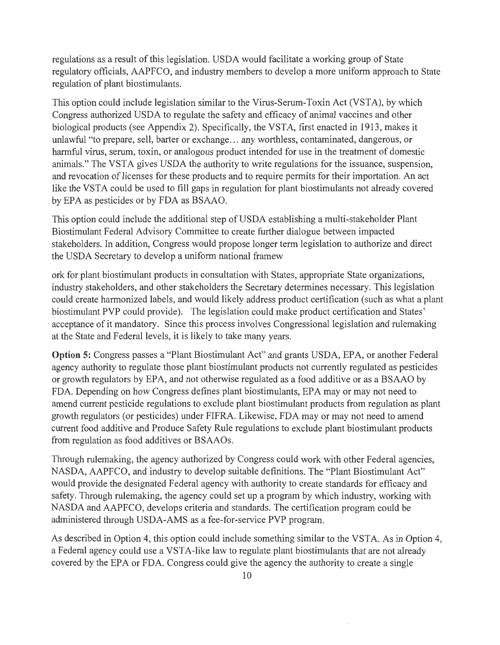regulations as a result of this legislation. USDA would facilitate a working group of State regulatory officials, AAPFCO, and industry members to develop a more uniform approach to State regulation of plant biostimulants.

This option could include legislation similar to the Virus-Serum-Toxin Act (VSTA), by which Congress authorized USDA to regulate the safety and efficacy of animal vaccines and other biological products (see Appendix 2). Specifically, the VSTA, first enacted in 1913, makes it unlawful "to prepare, sell, barter or exchange ... any worthless, contaminated, dangerous, or harmful virus, serum, toxin, or analogous product intended for use in the treatment of domestic animals." The VSTA gives USDA the authority to write regulations for the issuance, suspension, and revocation of licenses for these products and to require permits for their importation. An act like the VSTA could be used to fill gaps in regulation for plant biostimulants not already covered by EPA as pesticides or by FDA as BSAAO.

This option could include the additional step of USDA establishing a multi-stakeholder Plant Biostimulant Federal Advisory Committee to create further dialogue between impacted stakeholders. In addition, Congress would propose longer term legislation to authorize and direct the USDA Secretary to develop a uniform national framew

ork for plant biostimulant products in consultation with States, appropriate State organizations, industry stakeholders, and other stakeholders the Secretary determines necessary. This legislation could create harmonized labels, and would likely address product certification (such as what a plant biostimulant PVP could provide). The legislation could make product certification and States' acceptance of it mandatory. Since this process involves Congressional legislation and rulemaking at the State and Federal levels, it is likely to take many years.

**Option** 5: Congress passes a "Plant Biostimulant Act" and grants USDA, EPA, or another Federal agency authority to regulate those plant biostimulant products not currently regulated as pesticides or growth regulators by EPA, and not otherwise regulated as a food additive or as a BSAAO by FDA. Depending on how Congress defines plant biostimulants, EPA may or may not need to amend current pesticide regulations to exclude plant biostimulant products from regulation as plant growth regulators (or pesticides) under FIFRA. Likewise, FDA may or may not need to amend current food additive and Produce Safety Rule regulations to exclude plant biostimulant products from regulation as food additives or BSAAOs.

Through rulemaking, the agency authorized by Congress could work with other Federal agencies, NASDA, AAPFCO, and industry to develop suitable definitions. The "Plant Biostimulant Act" would provide the designated Federal agency with authority to create standards for efficacy and safety. Through rulemaking, the agency could set up a program by which industry, working with NASDA and AAPFCO, develops criteria and standards. The certification program could be administered through USDA-AMS as a fee-for-service PVP program.

As described in Option 4, this option could include something similar to the VSTA. As in Option 4, a Federal agency could use a VSTA-like law to regulate plant biostimulants that are not already covered by the EPA or FDA. Congress could give the agency the authority to create a single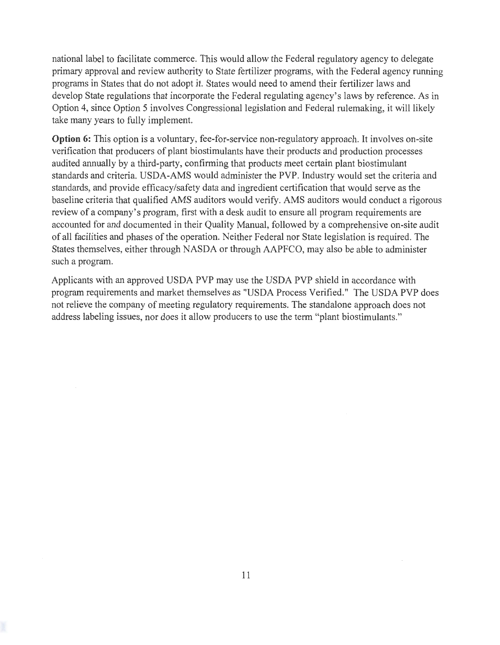national label to facilitate commerce. This would allow the Federal regulatory agency to delegate primary approval and review authority to State fertilizer programs, with the Federal agency running programs in States that do not adopt it. States would need to amend their fertilizer laws and develop State regulations that incorporate the Federal regulating agency's laws by reference. As in Option 4, since Option 5 involves Congressional legislation and Federal rulemaking, it will likely take many years to fully implement.

**Option** 6: This option is a voluntary, fee-for-service non-regulatory approach. It involves on-site verification that producers of plant biostimulants have their products and production processes audited annually by a third-party, confirming that products meet certain plant biostimulant standards and criteria. USDA-AMS would administer the PVP. Industry would set the criteria and standards, and provide efficacy/safety data and ingredient certification that would serve as the baseline criteria that qualified AMS auditors would verify. AMS auditors would conduct a rigorous review of a company's program, first with a desk audit to ensure all program requirements are accounted for and documented in their Quality Manual, followed by a comprehensive on-site audit of all facilities and phases of the operation. Neither Federal nor State legislation is required. The States themselves, either through NASDA or through AAPFCO, may also be able to administer such a program.

Applicants with an approved USDA PVP may use the USDA PVP shield in accordance with program requirements and market themselves as "USDA Process Verified." The USDA PVP does not relieve the company of meeting regulatory requirements. The standalone approach does not address labeling issues, nor does it allow producers to use the term "plant biostimulants."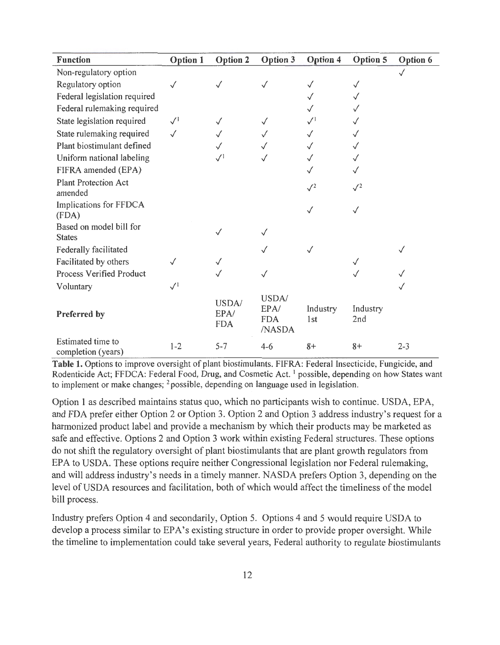| <b>Function</b>                          | Option 1     | <b>Option 2</b>             | Option 3                              | <b>Option 4</b>     | Option 5        | <b>Option 6</b> |
|------------------------------------------|--------------|-----------------------------|---------------------------------------|---------------------|-----------------|-----------------|
| Non-regulatory option                    |              |                             |                                       |                     |                 | $\checkmark$    |
| Regulatory option                        |              |                             | $\checkmark$                          | $\checkmark$        | $\checkmark$    |                 |
| Federal legislation required             |              |                             |                                       |                     | $\checkmark$    |                 |
| Federal rulemaking required              |              |                             |                                       |                     |                 |                 |
| State legislation required               | $\sqrt{1}$   | $\checkmark$                | $\checkmark$                          | $\surd\,{}^{\rm l}$ |                 |                 |
| State rulemaking required                | $\checkmark$ |                             |                                       |                     |                 |                 |
| Plant biostimulant defined               |              |                             |                                       | $\checkmark$        |                 |                 |
| Uniform national labeling                |              | $\sqrt{1}$                  |                                       | $\checkmark$        |                 |                 |
| FIFRA amended (EPA)                      |              |                             |                                       |                     |                 |                 |
| <b>Plant Protection Act</b><br>amended   |              |                             |                                       | $\sqrt{2}$          | $\sqrt{2}$      |                 |
| Implications for FFDCA<br>(FDA)          |              |                             |                                       | $\checkmark$        | $\checkmark$    |                 |
| Based on model bill for<br><b>States</b> |              |                             |                                       |                     |                 |                 |
| Federally facilitated                    |              |                             | $\checkmark$                          | ✓                   |                 |                 |
| Facilitated by others                    |              | $\checkmark$                |                                       |                     |                 |                 |
| Process Verified Product                 |              |                             | $\checkmark$                          |                     |                 |                 |
| Voluntary                                | $\sqrt{1}$   |                             |                                       |                     |                 |                 |
| Preferred by                             |              | USDA/<br>EPA/<br><b>FDA</b> | USDA/<br>EPA/<br><b>FDA</b><br>/NASDA | Industry<br>1st     | Industry<br>2nd |                 |
| Estimated time to<br>completion (years)  | $1 - 2$      | $5 - 7$                     | $4 - 6$                               | $8+$                | $8+$            | $2 - 3$         |

Table 1. Options to improve oversight of plant biostimulants. FIFRA: Federal Insecticide, Fungicide, and Rodenticide Act; FFDCA: Federal Food, Drug, and Cosmetic Act. <sup>1</sup> possible, depending on how States want to implement or make changes;  $2$  possible, depending on language used in legislation.

Option 1 as described maintains status quo, which no participants wish to continue. USDA, EPA, and FDA prefer either Option 2 or Option 3. Option 2 and Option 3 address industry's request for a harmonized product label and provide a mechanism by which their products may be marketed as safe and effective. Options 2 and Option 3 work within existing Federal structures. These options do not shift the regulatory oversight of plant biostimulants that are plant growth regulators from EPA to USDA. These options require neither Congressional legislation nor Federal rulemaking, and will address industry's needs in a timely manner. NASDA prefers Option 3, depending on the level of USDA resources and facilitation, both of which would affect the timeliness of the model bill process.

Industry prefers Option 4 and secondarily, Option 5. Options 4 and 5 would require USDA to develop a process similar to EPA's existing structure in order to provide proper oversight. While the timeline to implementation could take several years, Federal authority to regulate biostimulants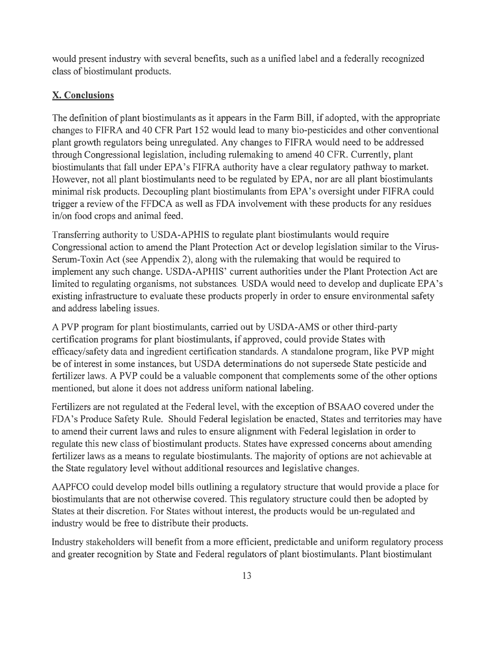would present industry with several benefits, such as a unified label and a federally recognized class of biostimulant products.

# **X. Conclusions**

The definition of plant biostimulants as it appears in the Farm Bill, if adopted, with the appropriate . changes to FIFRA and 40 CFR Part 152 would lead to many bio-pesticides and other conventional plant growth regulators being unregulated. Any changes to FIFRA would need to be addressed through Congressional legislation, including rulemaking to amend 40 CFR. Currently, plant biostimulants that fall under EPA's FIFRA authority have a clear regulatory pathway to market. However, not all plant biostimulants need to be regulated by EPA, nor are all plant biostimulants minimal risk products. Decoupling plant biostimulants from EPA's oversight under FIFRA could trigger a review of the FFDCA as well as FDA involvement with these products for any residues in/on food crops and animal feed.

Transferring authority to USDA-APHIS to regulate plant biostimulants would require Congressional action to amend the Plant Protection Act or develop legislation similar to the Virus-Serum-Toxin Act (see Appendix 2), along with the rulemaking that would be required to implement any such change. USDA-APHIS' current authorities under the Plant Protection Act are limited to regulating organisms, not substances. USDA would need to develop and duplicate EPA's existing infrastructure to evaluate these products properly in order to ensure environmental safety and address labeling issues.

A PVP program for plant biostimulants, carried out by USDA-AMS or other third-party certification programs for plant biostimulants, if approved, could provide States with efficacy/safety data and ingredient certification standards. A standalone program, like PVP might be of interest in some instances, but USDA determinations do not supersede State pesticide and fertilizer laws. A PVP could be a valuable component that complements some of the other options mentioned, but alone it does not address uniform national labeling.

Fertilizers are not regulated at the Federal level, with the exception of BSAAO covered under the FDA's Produce Safety Rule. Should Federal legislation be enacted, States and territories may have to amend their current laws and rules to ensure alignment with Federal legislation in order to regulate this new class of biostimulant products. States have expressed concerns about amending fertilizer laws as a means to regulate biostimulants. The majority of options are not achievable at the State regulatory level without additional resources and legislative changes.

AAPFCO could develop model bills outlining a regulatory structure that would provide a place for biostimulants that are not otherwise covered. This regulatory structure could then be adopted by States at their discretion. For States without interest, the products would be un-regulated and industry would be free to distribute their products.

Industry stakeholders will benefit from a more efficient, predictable and uniform regulatory process and greater recognition by State and Federal regulators of plant biostimulants. Plant biostimulant